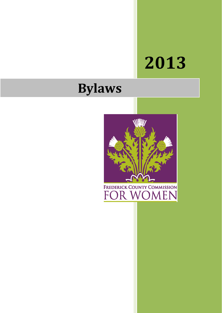# **2013**

# **Bylaws**



FREDERICK COUNTY COMMISSION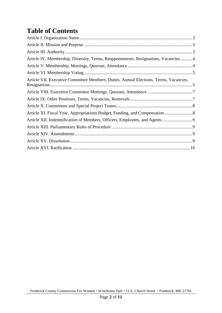# **Table of Contents**

| Article IV. Membership, Diversity, Terms, Reappointments, Resignations, Vacancies4    |  |
|---------------------------------------------------------------------------------------|--|
|                                                                                       |  |
|                                                                                       |  |
| Article VII. Executive Committee Members, Duties, Annual Elections, Terms, Vacancies, |  |
|                                                                                       |  |
|                                                                                       |  |
|                                                                                       |  |
| Article XI. Fiscal Year, Appropriations Budget, Funding, and Compensation 8           |  |
|                                                                                       |  |
|                                                                                       |  |
|                                                                                       |  |
|                                                                                       |  |
|                                                                                       |  |
|                                                                                       |  |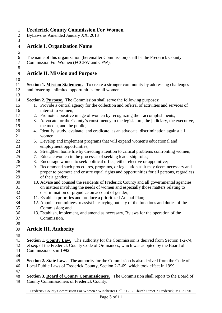<span id="page-2-2"></span><span id="page-2-1"></span><span id="page-2-0"></span>

| $\mathbf{1}$     | <b>Frederick County Commission For Women</b>                                                                                                                                 |
|------------------|------------------------------------------------------------------------------------------------------------------------------------------------------------------------------|
| $\overline{2}$   | ByLaws as Amended January XX, 2013                                                                                                                                           |
| 3                |                                                                                                                                                                              |
| $\overline{4}$   | <b>Article I. Organization Name</b>                                                                                                                                          |
| 5                |                                                                                                                                                                              |
| 6                | The name of this organization (hereinafter Commission) shall be the Frederick County                                                                                         |
| $\boldsymbol{7}$ | Commission For Women (FCCFW and CFW).                                                                                                                                        |
| $8\,$            |                                                                                                                                                                              |
|                  |                                                                                                                                                                              |
| 9                | <b>Article II. Mission and Purpose</b>                                                                                                                                       |
| 10               |                                                                                                                                                                              |
| 11               | <b>Section 1. Mission Statement.</b> To create a stronger community by addressing challenges                                                                                 |
| 12               | and fostering unlimited opportunities for all women.                                                                                                                         |
| 13               |                                                                                                                                                                              |
| 14               | <b>Section 2. Purpose.</b> The Commission shall serve the following purposes:                                                                                                |
| 15               | 1. Provide a central agency for the collection and referral of activities and services of                                                                                    |
| 16               | interest to women;                                                                                                                                                           |
| 17               | 2. Promote a positive image of women by recognizing their accomplishments;                                                                                                   |
| 18               | 3. Advocate for the County's constituency to the legislature, the judiciary, the executive,                                                                                  |
| 19               | the media, and the public;                                                                                                                                                   |
| 20               | 4. Identify, study, evaluate, and eradicate, as an advocate, discrimination against all                                                                                      |
| 21               | women;                                                                                                                                                                       |
| 22               | 5. Develop and implement programs that will expand women's educational and                                                                                                   |
| 23               | employment opportunities;                                                                                                                                                    |
| 24               | 6. Strengthen home life by directing attention to critical problems confronting women;                                                                                       |
| 25               | 7. Educate women in the processes of seeking leadership roles;                                                                                                               |
| 26               | 8. Encourage women to seek political office, either elective or appointive;                                                                                                  |
| 27               | 9. Recommend such procedures, programs, or legislation as it may deem necessary and                                                                                          |
| 28<br>29         | proper to promote and ensure equal rights and opportunities for all persons, regardless                                                                                      |
| 30               | of their gender;<br>10. Advise and counsel the residents of Frederick County and all governmental agencies                                                                   |
| 31               | on matters involving the needs of women and especially those matters relating to                                                                                             |
| 32               | discrimination or prejudice on account of gender;                                                                                                                            |
| 33               | 11. Establish priorities and produce a prioritized Annual Plan;                                                                                                              |
| 34               | 12. Appoint committees to assist in carrying out any of the functions and duties of the                                                                                      |
| 35               | Commission; and                                                                                                                                                              |
| 36               | 13. Establish, implement, and amend as necessary, Bylaws for the operation of the                                                                                            |
| 37               | Commission.                                                                                                                                                                  |
| 38               |                                                                                                                                                                              |
| 39               | <b>Article III. Authority</b>                                                                                                                                                |
|                  |                                                                                                                                                                              |
| 40               |                                                                                                                                                                              |
| 41               | <b>Section 1. County Law.</b> The authority for the Commission is derived from Section 1-2-74,                                                                               |
| 42               | et seq. of the Frederick County Code of Ordinances, which was adopted by the Board of                                                                                        |
| 43               | Commissioners in 1992.                                                                                                                                                       |
| 44               |                                                                                                                                                                              |
| 45<br>46         | Section 2. State Law. The authority for the Commission is also derived from the Code of<br>Local Public Laws of Frederick County, Section 2-2-69, which took effect in 1999. |
| 47               |                                                                                                                                                                              |
| 48               | Section 3. Board of County Commissioners. The Commission shall report to the Board of                                                                                        |
| 49               | County Commissioners of Frederick County.                                                                                                                                    |
|                  |                                                                                                                                                                              |
|                  |                                                                                                                                                                              |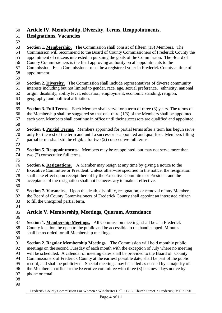#### <span id="page-3-0"></span>**Article IV. Membership, Diversity, Terms, Reappointments,**

#### **Resignations, Vacancies**

 **Section 1. Membership.** The Commission shall consist of fifteen (15) Members. The Commission will recommend to the Board of County Commissioners of Frederick County the appointment of citizens interested in pursuing the goals of the Commission. The Board of County Commissioners is the final approving authority on all appointments to the Commission. Each Commissioner must be a registered voter in Frederick County at time of appointment. **Section 2. Diversity.** The Commission shall include representatives of diverse community interests including but not limited to gender, race, age, sexual preference, ethnicity, national origin, disability, ability level, education, employment, economic standing, religion, geography, and political affiliation. **Section 3. Full Terms.** Each Member shall serve for a term of three (3) years. The terms of 66 the Membership shall be staggered so that one-third  $(1/3)$  of the Members shall be appointed each year. Members shall continue in office until their successors are qualified and appointed. 

- **Section 4. Partial Terms.** Members appointed for partial terms after a term has begun serve only for the rest of the term and until a successor is appointed and qualified. Members filling partial terms shall still be eligible for two (2) consecutive full terms.
- 
- **Section 5. Reappointments.** Members may be reappointed, but may not serve more than two (2) consecutive full terms.
- 
- **Section 6. Resignations.** A Member may resign at any time by giving a notice to the Executive Committee or President. Unless otherwise specified in the notice, the resignation shall take effect upon receipt thereof by the Executive Committee or President and the acceptance of the resignation shall not be necessary to make it effective.
- 
- **Section 7. Vacancies.** Upon the death, disability, resignation, or removal of any Member, the Board of County Commissioners of Frederick County shall appoint an interested citizen to fill the unexpired partial term.
- <span id="page-3-1"></span>**Article V. Membership, Meetings, Quorum, Attendance**
- **Section 1. Membership Meetings.** All Commission meetings shall be at a Frederick County location, be open to the public and be accessible to the handicapped. Minutes shall be recorded for all Membership meetings.
- 
- **Section 2. Regular Membership Meetings.** The Commission will hold monthly public meetings on the second Tuesday of each month with the exception of July where no meeting will be scheduled. A calendar of meeting dates shall be provided to the Board of County Commissioners of Frederick County at the earliest possible date, shall be part of the public record, and shall be publicized. Special meetings may be called as needed by a majority of the Members in office or the Executive committee with three (3) business days notice by phone or email.
-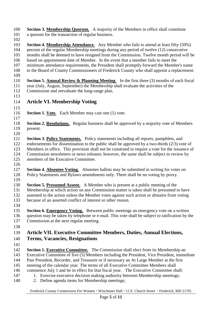**Section 3. Membership Quorum.** A majority of the Members in office shall constitute a quorum for the transaction of regular business.

- 
- **Section 4. Membership Attendance.** Any Member who fails to attend at least fifty (50%)
- percent of the regular Membership meetings during any period of twelve (12) consecutive
- months shall be deemed to have resigned from the Commission. Twelve month period will be
- based on appointment date of Member. In the event that a member fails to meet the
- minimum attendance requirements, the President shall promptly forward the Member's name
- to the Board of County Commissioners of Frederick County who shall appoint a replacement.
- **Section 5. Annual Review & Planning Meeting**. In the first three (3) months of each fiscal year (July, August, September) the Membership shall evaluate the activities of the Commission and reevaluate the long-range plan.
- 
- <span id="page-4-0"></span>**Article VI. Membership Voting**
- 
- **Section 1. Vote.** Each Member may cast one (1) vote.
- 
- **Section 2. Resolutions.** Regular business shall be approved by a majority vote of Members present.
- 
- **Section 3. Policy Statements.** Policy statements including all reports, pamphlets, and endorsements for dissemination to the public shall be approved by a two-thirds (2/3) vote of Members in office. This provision shall not be construed to require a vote for the issuance of Commission newsletters or news releases; however, the same shall be subject to review by
- members of the Executive Committee.
- 
- **Section 4. Absentee Voting.** Absentee ballots may be submitted in writing for votes on Policy Statements and Bylaws amendments only. There shall be no voting by proxy.
- 
- **Section 5. Presumed Assent.** A Member who is present at a public meeting of the
- Membership at which action on any Commission matter is taken shall be presumed to have assented to the action unless the Member votes against such action or abstains from voting because of an asserted conflict of interest or other reason.
- 

 **Section 6. Emergency Voting.** Between public meetings an emergency vote on a written question may be taken by telephone or e-mail. This vote shall be subject to ratification by the Commission at the next regular meeting.

<span id="page-4-1"></span>

#### **Article VII. Executive Committee Members, Duties, Annual Elections,**

- **Terms, Vacancies, Resignations**
- 

**Section 1. Executive Committee.** The Commission shall elect from its Membership an Executive Committee of five (5) Members including the President, Vice President, immediate Past President, Recorder, and Treasurer or if necessary an At Large Member at the first meeting of the calendar year. The terms of all Executive Committee Members shall

- commence July 1 and be in effect for that fiscal year. The Executive Committee shall:
- 1. Exercise executive decision making authority between Membership meetings;
- 2. Define agenda items for Membership meetings;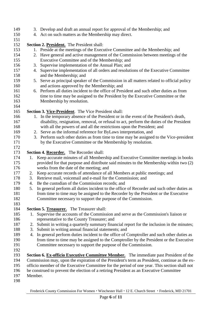**Section 2. President.** The President shall: 1. Preside at the meetings of the Executive Committee and the Membership; and 2. Have general and active management of the Commission between meetings of the Executive Committee and of the Membership; and 3. Supervise implementation of the Annual Plan; and 4. Supervise implementation of all orders and resolutions of the Executive Committee and the Membership; and 5. Serve as principal speaker of the Commission in all matters related to official policy and actions approved by the Membership; and 6. Perform all duties incident to the office of President and such other duties as from 162 time to time may be assigned to the President by the Executive Committee or the Membership by resolution. **Section 3. Vice-President**. The Vice President shall: 1. In the temporary absence of the President or in the event of the President's death, disability, resignation, removal, or refusal to act, perform the duties of the President with all the powers of and all the restrictions upon the President; and 2. Serve as the informal reference for ByLaws interpretation, and 3. Perform such other duties as from time to time may be assigned to the Vice-president by the Executive Committee or the Membership by resolution. **Section 4. Recorder.** The Recorder shall: 1. Keep accurate minutes of all Membership and Executive Committee meetings in books provided for that purpose and distribute said minutes to the Membership within two (2) weeks from the date of the meeting; and 2. Keep accurate records of attendance of all Members at public meetings; and 3. Retrieve mail, voicemail and e-mail for the Commission; and 4. Be the custodian of the Commission records; and 5. In general perform all duties incident to the office of Recorder and such other duties as from time to time may be assigned to the Recorder by the President or the Executive Committee necessary to support the purpose of the Commission. **Section 5. Treasurer.** The Treasurer shall: 1. Supervise the accounts of the Commission and serve as the Commission's liaison or representative to the County Treasurer; and 2. Submit in writing a quarterly summary financial report for the inclusion in the minutes; 3. Submit in writing annual financial statements; and 4. In general perform duties incident to the office of Comptroller and such other duties as from time to time may be assigned to the Comptroller by the President or the Executive Committee necessary to support the purpose of the Commission. **Section 6. Ex-officio Executive Committee Member.** The immediate past President of the Commission may, upon the expiration of the President's term as President, continue as the ex- officio member of the Executive Committee for the period of one year. This section shall not be construed to prevent the election of a retiring President as an Executive Committee Member.

3. Develop and draft an annual report for approval of the Membership; and

4. Act on such matters as the Membership may direct.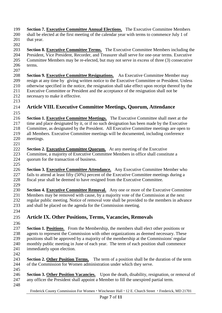- **Section 7. Executive Committee Annual Elections.** The Executive Committee Members shall be elected at the first meeting of the calendar year with terms to commence July 1 of 201 that year.
- **Section 8. Executive Committee Terms.** The Executive Committee Members including the President, Vice President, Recorder, and Treasurer shall serve for one-year terms. Executive Committee Members may be re-elected, but may not serve in excess of three (3) consecutive terms.
- **Section 9. Executive Committee Resignations.** An Executive Committee Member may resign at any time by giving written notice to the Executive Committee or President. Unless otherwise specified in the notice, the resignation shall take effect upon receipt thereof by the Executive Committee or President and the acceptance of the resignation shall not be necessary to make it effective.
- 
- <span id="page-6-0"></span> **Article VIII. Executive Committee Meetings, Quorum, Attendance**
- **Section 1. Executive Committee Meetings.** The Executive Committee shall meet at the time and place designated by it, or if no such designation has been made by the Executive Committee, as designated by the President. All Executive Committee meetings are open to all Members. Executive Committee meetings will be documented, including conference
- meetings.

- **Section 2. Executive Committee Quorum.** At any meeting of the Executive
- Committee, a majority of Executive Committee Members in office shall constitute a quorum for the transaction of business.
- 
- **Section 3. Executive Committee Attendance.** Any Executive Committee Member who fails to attend at least fifty (50%) percent of the Executive Committee meetings during a fiscal year shall be deemed to have resigned from the Executive Committee.
- 
- **Section 4. Executive Committee Removal.** Any one or more of the Executive Committee Members may be removed with cause, by a majority vote of the Commission at the next regular public meeting. Notice of removal vote shall be provided to the members in advance and shall be placed on the agenda for the Commission meeting.
- <span id="page-6-1"></span>
- **Article IX. Other Positions, Terms, Vacancies, Removals**
- 
- **Section 1. Positions**. From the Membership, the members shall elect other positions or agents to represent the Commission with other organizations as deemed necessary. These positions shall be approved by a majority of the membership at the Commissions' regular monthly public meeting in June of each year. The term of each position shall commence immediately upon election.
- **Section 2. Other Position Terms.** The term of a position shall be the duration of the term of the Commission for Women administration under which they serve.
- **Section 3. Other Position Vacancies.** Upon the death, disability, resignation, or removal of any officer the President shall appoint a Member to fill the unexpired partial term.
	- Frederick County Commission For Women Winchester Hall 12 E. Church Street Frederick, MD 21701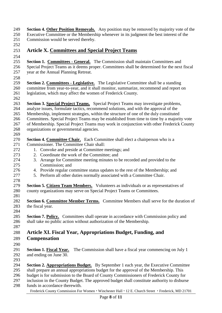**Section 4. Other Position Removals.** Any position may be removed by majority vote of the Executive Committee or the Membership whenever in its judgment the best interest of the Commission would be served thereby.

#### <span id="page-7-0"></span>**Article X. Committees and Special Project Teams**

 **Section 1. Committees - General.** The Commission shall maintain Committees and Special Project Teams as it deems proper. Committees shall be determined for the next fiscal year at the Annual Planning Retreat.

 **Section 2. Committees - Legislative.** The Legislative Committee shall be a standing committee from year-to-year, and it shall monitor, summarize, recommend and report on legislation, which may affect the women of Frederick County.

 **Section 3. Special Project Teams.** Special Project Teams may investigate problems, analyze issues, formulate tactics, recommend solutions, and with the approval of the

- Membership, implement strategies, within the structure of one of the duly constituted
- Committees. Special Project Teams may be established from time to time by a majority vote

 of Membership. Special Project Teams may work in conjunction with other Frederick County organizations or governmental agencies.

- **Section 4. Committee Chair.** Each Committee shall elect a chairperson who is a Commissioner. The Committee Chair shall:
- 1. Convoke and preside at Committee meetings; and
- 2. Coordinate the work of the Committee; and
- 3. Arrange for Committee meeting minutes to be recorded and provided to the Commission; and
- 4. Provide regular committee status updates to the rest of the Membership; and
- 5. Perform all other duties normally associated with a Committee Chair.
- **Section 5. Citizen Team Members.** Volunteers as individuals or as representatives of county organizations may serve on Special Project Teams or Committees.
- **Section 6. Committee Member Terms.** Committee Members shall serve for the duration of the fiscal year.
- **Section 7. Policy.** Committees shall operate in accordance with Commission policy and shall take no public action without authorization of the Membership.
- <span id="page-7-1"></span> **Article XI. Fiscal Year, Appropriations Budget, Funding, and Compensation**
- 

- **Section 1. Fiscal Year.** The Commission shall have a fiscal year commencing on July 1 and ending on June 30.
- **Section 2. Appropriations Budget.** By September 1 each year, the Executive Committee shall prepare an annual appropriations budget for the approval of the Membership. This
- budget is for submission to the Board of County Commissioners of Frederick County for
- inclusion in the County Budget. The approved budget shall constitute authority to disburse
- funds in accordance therewith.

Frederick County Commission For Women • Winchester Hall • 12 E. Church Street • Frederick, MD 21701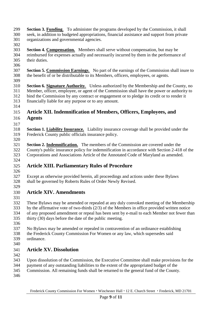- **Section 3. Funding**. To administer the programs developed by the Commission, it shall seek, in addition to budgeted appropriations, financial assistance and support from private organizations and governmental agencies.
- 
- **Section 4. Compensation.** Members shall serve without compensation, but may be reimbursed for expenses actually and necessarily incurred by them in the performance of
- their duties.
- 
- **Section 5. Commission Earnings**. No part of the earnings of the Commission shall inure to the benefit of or be distributable to its Members, officers, employees, or agents.
- **Section 6. Signature Authority**. Unless authorized by the Membership and the County, no Member, officer, employee, or agent of the Commission shall have the power or authority to bind the Commission by any contract or engagement or to pledge its credit or to render it financially liable for any purpose or to any amount.
- 

### <span id="page-8-0"></span>**Article XII. Indemnification of Members, Officers, Employees, and**

- **Agents**
- 
- **Section 1. Liability Insurance.** Liability insurance coverage shall be provided under the Frederick County public officials insurance policy.
- **Section 2. Indemnification.** The members of the Commission are covered under the County's public insurance policy for indemnification in accordance with Section 2-418 of the Corporations and Associations Article of the Annotated Code of Maryland as amended.
- 

# <span id="page-8-1"></span>**Article XIII. Parliamentary Rules of Procedure**

- 
- Except as otherwise provided herein, all proceedings and actions under these Bylaws shall be governed by Roberts Rules of Order Newly Revised.

#### <span id="page-8-2"></span> **Article XIV. Amendments**

- These Bylaws may be amended or repealed at any duly convoked meeting of the Membership by the affirmative vote of two-thirds (2/3) of the Members in office provided written notice of any proposed amendment or repeal has been sent by e-mail to each Member not fewer than thirty (30) days before the date of the public meeting.
- 
- No Bylaws may be amended or repealed in contravention of an ordinance establishing
- the Frederick County Commission For Women or any law, which supersedes said
- ordinance.
- 

# <span id="page-8-3"></span>**Article XV. Dissolution**

- 
- Upon dissolution of the Commission, the Executive Committee shall make provisions for the
- payment of any outstanding liabilities to the extent of the appropriated budget of the
- Commission. All remaining funds shall be returned to the general fund of the County.
-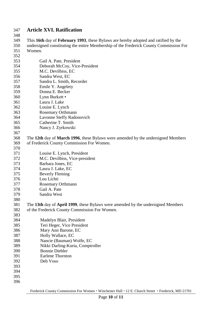#### <span id="page-9-0"></span>**Article XVI. Ratification**

348<br>349

 This **16th** day of **February 1993**, these Bylaws are hereby adopted and ratified by the undersigned constituting the entire Membership of the Frederick County Commission For

| 351        | Women.                                                                           |
|------------|----------------------------------------------------------------------------------|
| 352        |                                                                                  |
| 353        | Gail A. Pate, President                                                          |
| 354        | Deborah McCoy, Vice-President                                                    |
| 355        | M.C. Devilbiss, EC                                                               |
| 356        | Sandra West, EC                                                                  |
| 357        | Sandra L. Smith, Recorder                                                        |
| 358        | Emile Y. Angelety                                                                |
| 359        | Donna E. Becker                                                                  |
| 360        | Lynn Burkett •                                                                   |
| 361        | Laura J. Lake                                                                    |
| 362        | Louise E. Lynch                                                                  |
| 363        | <b>Rosemary Orthmann</b>                                                         |
| 364        | Lavonne Steffy Radonovich                                                        |
| 365        | Catherine T. Smith                                                               |
| 366        | Nancy J. Zyrkowski                                                               |
| 367        |                                                                                  |
| 368        | The 12th day of March 1996, these Bylaws were amended by the undersigned Members |
| 369        | of Frederick County Commission For Women.                                        |
| 370        |                                                                                  |
| 371        | Louise E. Lynch, President                                                       |
| 372        | M.C. Devilbiss, Vice-president                                                   |
| 373        | Barbara Jones, EC                                                                |
| 374        | Laura J. Lake, EC                                                                |
| 375        | <b>Beverly Fleming</b>                                                           |
| 376        | Lou Lichti                                                                       |
| 377        |                                                                                  |
|            | <b>Rosemary Orthmann</b><br>Gail A. Pate                                         |
| 378<br>379 | Sandra West                                                                      |
| 380        |                                                                                  |
| 381        | The 13th day of April 1999, these Bylaws were amended by the undersigned Members |
| 382        | of the Frederick County Commission For Women.                                    |
| 383        |                                                                                  |
| 384        | Madelyn Blair, President                                                         |
| 385        | Teri Heger, Vice President                                                       |
|            |                                                                                  |
| 386        | Mary Ann Barone, EC<br>Holly Wallace, EC                                         |
| 387        |                                                                                  |
| 388<br>389 | Nancie (Bauman) Wolfe, EC                                                        |
| 390        | Nikki Darling-Kuria, Comptroller<br><b>Bonnie Diebler</b>                        |
| 391        | <b>Earlene Thornton</b>                                                          |
|            |                                                                                  |
| 392<br>393 | Deb Voso                                                                         |
| 394        |                                                                                  |
| 395        |                                                                                  |
| 396        |                                                                                  |
|            |                                                                                  |

Frederick County Commission For Women • Winchester Hall • 12 E. Church Street • Frederick, MD 21701